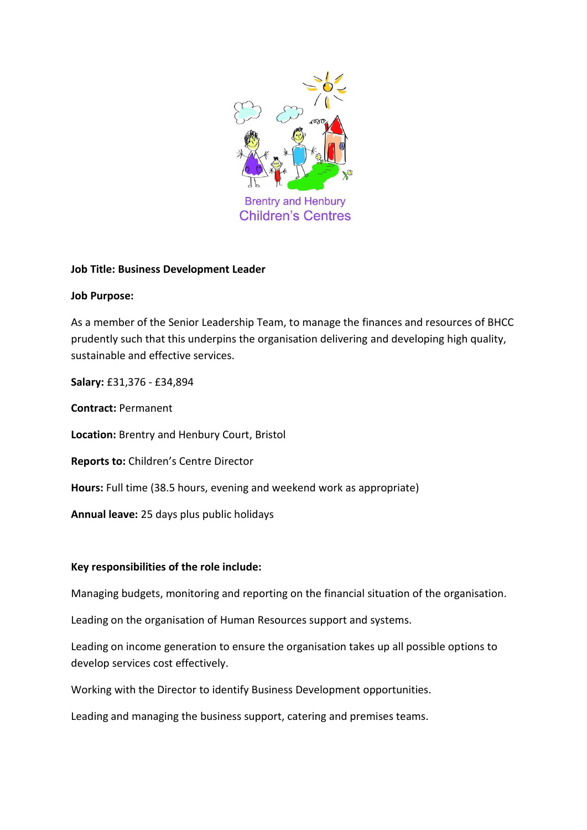

### **Job Title: Business Development Leader**

### **Job Purpose:**

As a member of the Senior Leadership Team, to manage the finances and resources of BHCC prudently such that this underpins the organisation delivering and developing high quality, sustainable and effective services.

**Salary:** £31,376 - £34,894

**Contract:** Permanent **Location:** Brentry and Henbury Court, Bristol **Reports to:** Children's Centre Director **Hours:** Full time (38.5 hours, evening and weekend work as appropriate) **Annual leave:** 25 days plus public holidays

## **Key responsibilities of the role include:**

Managing budgets, monitoring and reporting on the financial situation of the organisation.

Leading on the organisation of Human Resources support and systems.

Leading on income generation to ensure the organisation takes up all possible options to develop services cost effectively.

Working with the Director to identify Business Development opportunities.

Leading and managing the business support, catering and premises teams.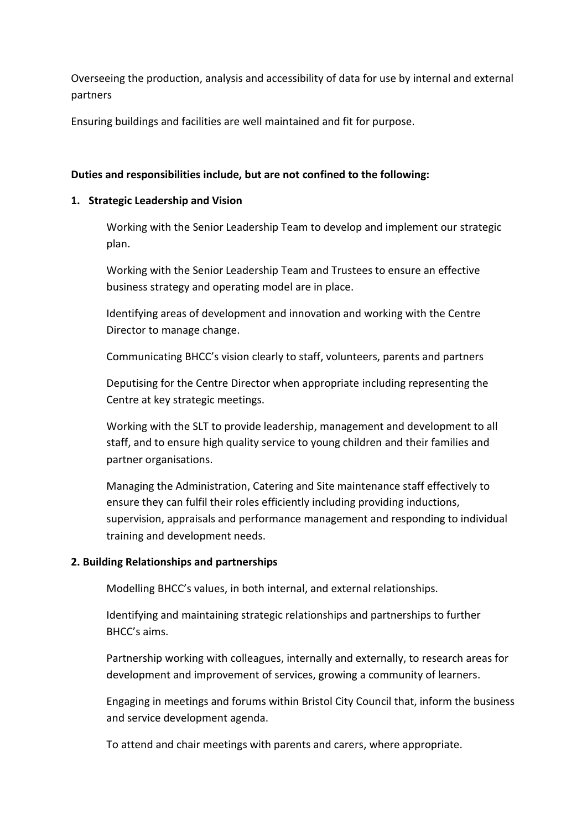Overseeing the production, analysis and accessibility of data for use by internal and external partners

Ensuring buildings and facilities are well maintained and fit for purpose.

### **Duties and responsibilities include, but are not confined to the following:**

### **1. Strategic Leadership and Vision**

Working with the Senior Leadership Team to develop and implement our strategic plan.

Working with the Senior Leadership Team and Trustees to ensure an effective business strategy and operating model are in place.

Identifying areas of development and innovation and working with the Centre Director to manage change.

Communicating BHCC's vision clearly to staff, volunteers, parents and partners

Deputising for the Centre Director when appropriate including representing the Centre at key strategic meetings.

Working with the SLT to provide leadership, management and development to all staff, and to ensure high quality service to young children and their families and partner organisations.

Managing the Administration, Catering and Site maintenance staff effectively to ensure they can fulfil their roles efficiently including providing inductions, supervision, appraisals and performance management and responding to individual training and development needs.

## **2. Building Relationships and partnerships**

Modelling BHCC's values, in both internal, and external relationships.

Identifying and maintaining strategic relationships and partnerships to further BHCC's aims.

Partnership working with colleagues, internally and externally, to research areas for development and improvement of services, growing a community of learners.

Engaging in meetings and forums within Bristol City Council that, inform the business and service development agenda.

To attend and chair meetings with parents and carers, where appropriate.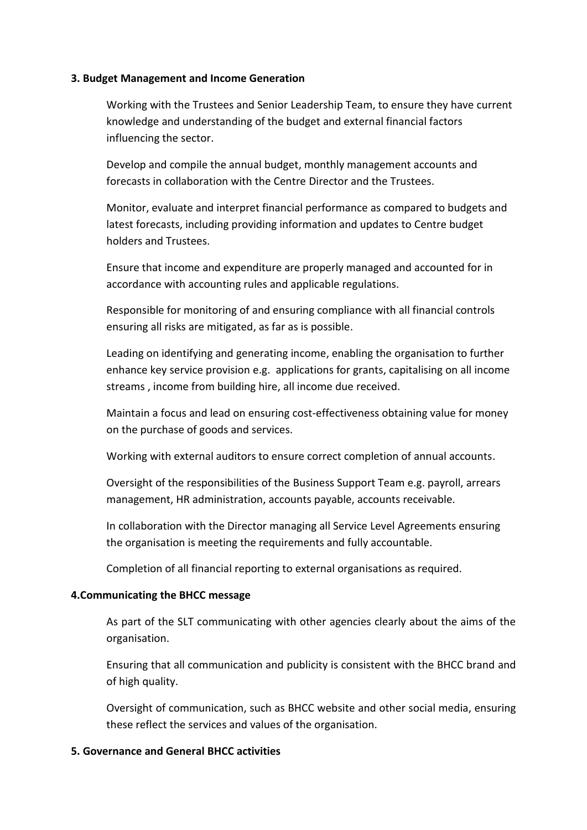#### **3. Budget Management and Income Generation**

Working with the Trustees and Senior Leadership Team, to ensure they have current knowledge and understanding of the budget and external financial factors influencing the sector.

Develop and compile the annual budget, monthly management accounts and forecasts in collaboration with the Centre Director and the Trustees.

Monitor, evaluate and interpret financial performance as compared to budgets and latest forecasts, including providing information and updates to Centre budget holders and Trustees.

Ensure that income and expenditure are properly managed and accounted for in accordance with accounting rules and applicable regulations.

Responsible for monitoring of and ensuring compliance with all financial controls ensuring all risks are mitigated, as far as is possible.

Leading on identifying and generating income, enabling the organisation to further enhance key service provision e.g. applications for grants, capitalising on all income streams , income from building hire, all income due received.

Maintain a focus and lead on ensuring cost-effectiveness obtaining value for money on the purchase of goods and services.

Working with external auditors to ensure correct completion of annual accounts.

Oversight of the responsibilities of the Business Support Team e.g. payroll, arrears management, HR administration, accounts payable, accounts receivable.

In collaboration with the Director managing all Service Level Agreements ensuring the organisation is meeting the requirements and fully accountable.

Completion of all financial reporting to external organisations as required.

### **4.Communicating the BHCC message**

As part of the SLT communicating with other agencies clearly about the aims of the organisation.

Ensuring that all communication and publicity is consistent with the BHCC brand and of high quality.

Oversight of communication, such as BHCC website and other social media, ensuring these reflect the services and values of the organisation.

### **5. Governance and General BHCC activities**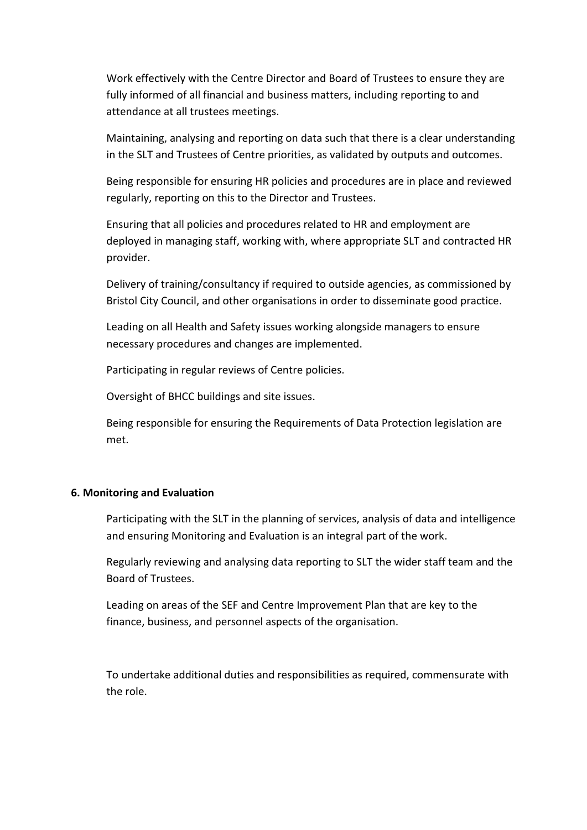Work effectively with the Centre Director and Board of Trustees to ensure they are fully informed of all financial and business matters, including reporting to and attendance at all trustees meetings.

Maintaining, analysing and reporting on data such that there is a clear understanding in the SLT and Trustees of Centre priorities, as validated by outputs and outcomes.

Being responsible for ensuring HR policies and procedures are in place and reviewed regularly, reporting on this to the Director and Trustees.

Ensuring that all policies and procedures related to HR and employment are deployed in managing staff, working with, where appropriate SLT and contracted HR provider.

Delivery of training/consultancy if required to outside agencies, as commissioned by Bristol City Council, and other organisations in order to disseminate good practice.

Leading on all Health and Safety issues working alongside managers to ensure necessary procedures and changes are implemented.

Participating in regular reviews of Centre policies.

Oversight of BHCC buildings and site issues.

Being responsible for ensuring the Requirements of Data Protection legislation are met.

### **6. Monitoring and Evaluation**

Participating with the SLT in the planning of services, analysis of data and intelligence and ensuring Monitoring and Evaluation is an integral part of the work.

Regularly reviewing and analysing data reporting to SLT the wider staff team and the Board of Trustees.

Leading on areas of the SEF and Centre Improvement Plan that are key to the finance, business, and personnel aspects of the organisation.

To undertake additional duties and responsibilities as required, commensurate with the role.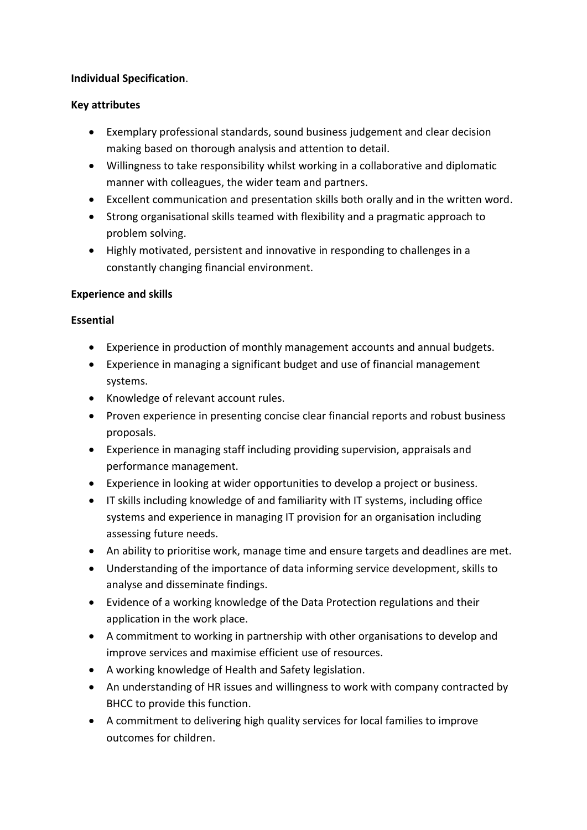## **Individual Specification**.

# **Key attributes**

- Exemplary professional standards, sound business judgement and clear decision making based on thorough analysis and attention to detail.
- Willingness to take responsibility whilst working in a collaborative and diplomatic manner with colleagues, the wider team and partners.
- Excellent communication and presentation skills both orally and in the written word.
- Strong organisational skills teamed with flexibility and a pragmatic approach to problem solving.
- Highly motivated, persistent and innovative in responding to challenges in a constantly changing financial environment.

# **Experience and skills**

# **Essential**

- Experience in production of monthly management accounts and annual budgets.
- Experience in managing a significant budget and use of financial management systems.
- Knowledge of relevant account rules.
- Proven experience in presenting concise clear financial reports and robust business proposals.
- Experience in managing staff including providing supervision, appraisals and performance management.
- Experience in looking at wider opportunities to develop a project or business.
- IT skills including knowledge of and familiarity with IT systems, including office systems and experience in managing IT provision for an organisation including assessing future needs.
- An ability to prioritise work, manage time and ensure targets and deadlines are met.
- Understanding of the importance of data informing service development, skills to analyse and disseminate findings.
- Evidence of a working knowledge of the Data Protection regulations and their application in the work place.
- A commitment to working in partnership with other organisations to develop and improve services and maximise efficient use of resources.
- A working knowledge of Health and Safety legislation.
- An understanding of HR issues and willingness to work with company contracted by BHCC to provide this function.
- A commitment to delivering high quality services for local families to improve outcomes for children.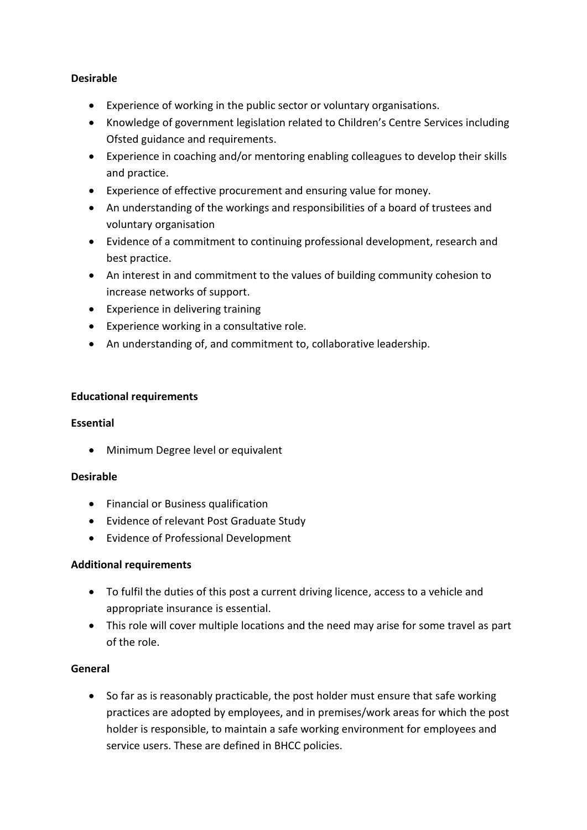## **Desirable**

- Experience of working in the public sector or voluntary organisations.
- Knowledge of government legislation related to Children's Centre Services including Ofsted guidance and requirements.
- Experience in coaching and/or mentoring enabling colleagues to develop their skills and practice.
- Experience of effective procurement and ensuring value for money.
- An understanding of the workings and responsibilities of a board of trustees and voluntary organisation
- Evidence of a commitment to continuing professional development, research and best practice.
- An interest in and commitment to the values of building community cohesion to increase networks of support.
- Experience in delivering training
- Experience working in a consultative role.
- An understanding of, and commitment to, collaborative leadership.

## **Educational requirements**

## **Essential**

• Minimum Degree level or equivalent

## **Desirable**

- Financial or Business qualification
- Evidence of relevant Post Graduate Study
- Evidence of Professional Development

## **Additional requirements**

- To fulfil the duties of this post a current driving licence, access to a vehicle and appropriate insurance is essential.
- This role will cover multiple locations and the need may arise for some travel as part of the role.

## **General**

• So far as is reasonably practicable, the post holder must ensure that safe working practices are adopted by employees, and in premises/work areas for which the post holder is responsible, to maintain a safe working environment for employees and service users. These are defined in BHCC policies.